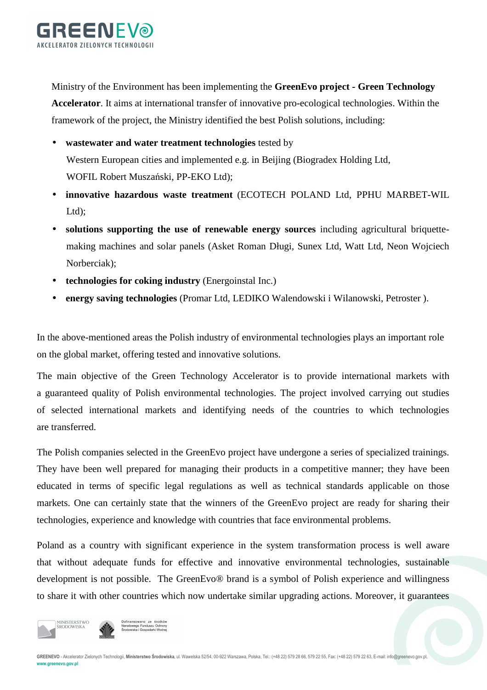

Ministry of the Environment has been implementing the **GreenEvo project - Green Technology** 

**Accelerator**. It aims at international transfer of innovative pro-ecological technologies. Within the framework of the project, the Ministry identified the best Polish solutions, including:

- **wastewater and water treatment technologies** tested by Western European cities and implemented e.g. in Beijing (Biogradex Holding Ltd, WOFIL Robert Muszański, PP-EKO Ltd);
- **innovative hazardous waste treatment** (ECOTECH POLAND Ltd, PPHU MARBET-WIL Ltd);
- **solutions supporting the use of renewable energy sources** including agricultural briquettemaking machines and solar panels (Asket Roman Długi, Sunex Ltd, Watt Ltd, Neon Wojciech Norberciak);
- **technologies for coking industry** (Energoinstal Inc.)
- **energy saving technologies** (Promar Ltd, LEDIKO Walendowski i Wilanowski, Petroster ).

In the above-mentioned areas the Polish industry of environmental technologies plays an important role on the global market, offering tested and innovative solutions.

The main objective of the Green Technology Accelerator is to provide international markets with a guaranteed quality of Polish environmental technologies. The project involved carrying out studies of selected international markets and identifying needs of the countries to which technologies are transferred.

The Polish companies selected in the GreenEvo project have undergone a series of specialized trainings. They have been well prepared for managing their products in a competitive manner; they have been educated in terms of specific legal regulations as well as technical standards applicable on those markets. One can certainly state that the winners of the GreenEvo project are ready for sharing their technologies, experience and knowledge with countries that face environmental problems.

Poland as a country with significant experience in the system transformation process is well aware that without adequate funds for effective and innovative environmental technologies, sustainable development is not possible. The GreenEvo® brand is a symbol of Polish experience and willingness to share it with other countries which now undertake similar upgrading actions. Moreover, it guarantees



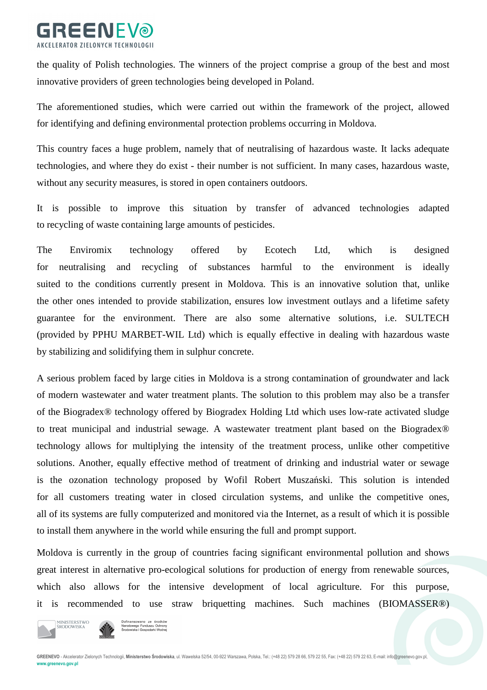

the quality of Polish technologies. The winners of the project comprise a group of the best and most innovative providers of green technologies being developed in Poland.

The aforementioned studies, which were carried out within the framework of the project, allowed for identifying and defining environmental protection problems occurring in Moldova.

This country faces a huge problem, namely that of neutralising of hazardous waste. It lacks adequate technologies, and where they do exist - their number is not sufficient. In many cases, hazardous waste, without any security measures, is stored in open containers outdoors.

It is possible to improve this situation by transfer of advanced technologies adapted to recycling of waste containing large amounts of pesticides.

The Enviromix technology offered by Ecotech Ltd, which is designed for neutralising and recycling of substances harmful to the environment is ideally suited to the conditions currently present in Moldova. This is an innovative solution that, unlike the other ones intended to provide stabilization, ensures low investment outlays and a lifetime safety guarantee for the environment. There are also some alternative solutions, i.e. SULTECH (provided by PPHU MARBET-WIL Ltd) which is equally effective in dealing with hazardous waste by stabilizing and solidifying them in sulphur concrete.

A serious problem faced by large cities in Moldova is a strong contamination of groundwater and lack of modern wastewater and water treatment plants. The solution to this problem may also be a transfer of the Biogradex® technology offered by Biogradex Holding Ltd which uses low-rate activated sludge to treat municipal and industrial sewage. A wastewater treatment plant based on the Biogradex® technology allows for multiplying the intensity of the treatment process, unlike other competitive solutions. Another, equally effective method of treatment of drinking and industrial water or sewage is the ozonation technology proposed by Wofil Robert Muszański. This solution is intended for all customers treating water in closed circulation systems, and unlike the competitive ones, all of its systems are fully computerized and monitored via the Internet, as a result of which it is possible to install them anywhere in the world while ensuring the full and prompt support.

Moldova is currently in the group of countries facing significant environmental pollution and shows great interest in alternative pro-ecological solutions for production of energy from renewable sources, which also allows for the intensive development of local agriculture. For this purpose, it is recommended to use straw briquetting machines. Such machines (BIOMASSER®)



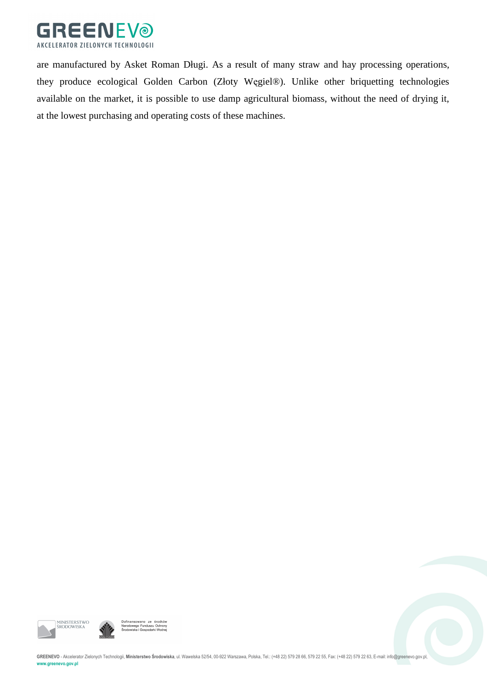

are manufactured by Asket Roman Długi. As a result of many straw and hay processing operations, they produce ecological Golden Carbon (Złoty Węgiel®). Unlike other briquetting technologies available on the market, it is possible to use damp agricultural biomass, without the need of drying it, at the lowest purchasing and operating costs of these machines.





GREENEVO - Akcelerator Zielonych Technologii, Ministerstwo Środowiska, ul. Wawelska 52/54, 00-922 Warszawa, Polska, Tel.: (+48 22) 579 28 66, 579 22 65, Fax: (+48 22) 579 28 55, Fax: (+48 22) 579 22 63, E-mail: info@greene

**www.greenevo.gov.pl**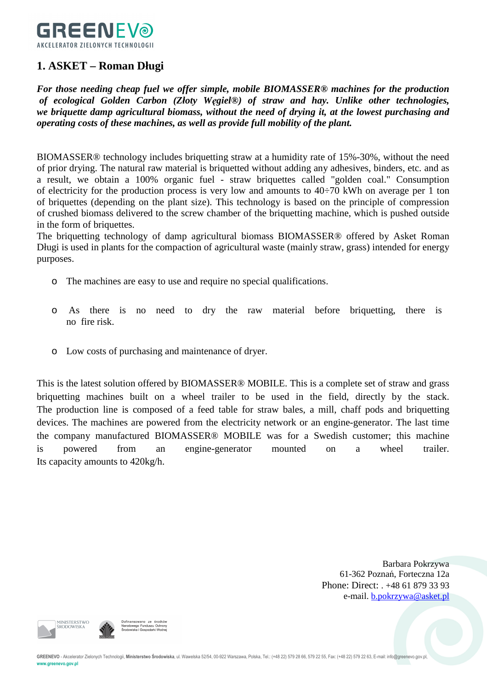

## **1. ASKET – Roman Długi**

*For those needing cheap fuel we offer simple, mobile BIOMASSER® machines for the production of ecological Golden Carbon (Złoty Węgiel®) of straw and hay. Unlike other technologies, we briquette damp agricultural biomass, without the need of drying it, at the lowest purchasing and operating costs of these machines, as well as provide full mobility of the plant.* 

BIOMASSER® technology includes briquetting straw at a humidity rate of 15%-30%, without the need of prior drying. The natural raw material is briquetted without adding any adhesives, binders, etc. and as a result, we obtain a 100% organic fuel - straw briquettes called "golden coal." Consumption of electricity for the production process is very low and amounts to  $40\div 70$  kWh on average per 1 ton of briquettes (depending on the plant size). This technology is based on the principle of compression of crushed biomass delivered to the screw chamber of the briquetting machine, which is pushed outside in the form of briquettes.

The briquetting technology of damp agricultural biomass BIOMASSER® offered by Asket Roman Długi is used in plants for the compaction of agricultural waste (mainly straw, grass) intended for energy purposes.

- o The machines are easy to use and require no special qualifications.
- o As there is no need to dry the raw material before briquetting, there is no fire risk.
- o Low costs of purchasing and maintenance of dryer.

This is the latest solution offered by BIOMASSER® MOBILE. This is a complete set of straw and grass briquetting machines built on a wheel trailer to be used in the field, directly by the stack. The production line is composed of a feed table for straw bales, a mill, chaff pods and briquetting devices. The machines are powered from the electricity network or an engine-generator. The last time the company manufactured BIOMASSER® MOBILE was for a Swedish customer; this machine is powered from an engine-generator mounted on a wheel trailer. Its capacity amounts to 420kg/h.

> Barbara Pokrzywa 61-362 Poznań, Forteczna 12a Phone: Direct: . +48 61 879 33 93 e-mail. b.pokrzywa@asket.pl



**MINISTERSTWC** 

GREENEVO - Akcelerator Zielonych Technologii, Ministerstwo Środowiska, ul. Wawelska 52/54, 00-922 Warszawa, Polska, Tel.: (+48 22) 579 28 66, 579 22 55, Fax: (+48 22) 579 22 63, E-mail: info@greenevo.gov.pl **www.greenevo.gov.pl**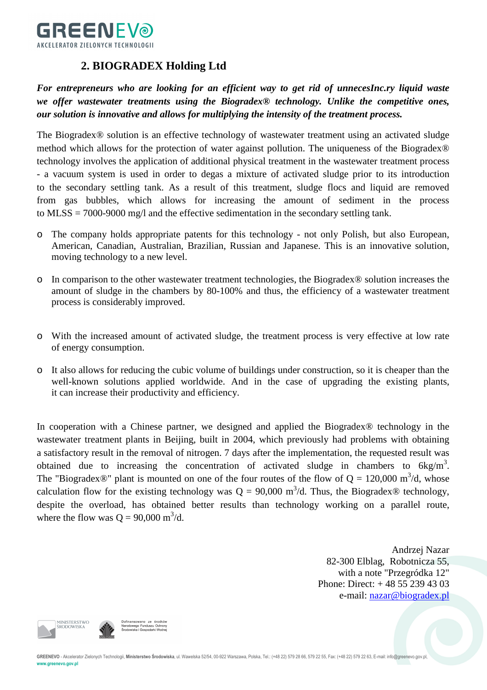

# **2. BIOGRADEX Holding Ltd**

*For entrepreneurs who are looking for an efficient way to get rid of unnecesInc.ry liquid waste we offer wastewater treatments using the Biogradex® technology. Unlike the competitive ones, our solution is innovative and allows for multiplying the intensity of the treatment process.* 

The Biogradex® solution is an effective technology of wastewater treatment using an activated sludge method which allows for the protection of water against pollution. The uniqueness of the Biogradex® technology involves the application of additional physical treatment in the wastewater treatment process - a vacuum system is used in order to degas a mixture of activated sludge prior to its introduction to the secondary settling tank. As a result of this treatment, sludge flocs and liquid are removed from gas bubbles, which allows for increasing the amount of sediment in the process to MLSS = 7000-9000 mg/l and the effective sedimentation in the secondary settling tank.

- o The company holds appropriate patents for this technology not only Polish, but also European, American, Canadian, Australian, Brazilian, Russian and Japanese. This is an innovative solution, moving technology to a new level.
- o In comparison to the other wastewater treatment technologies, the Biogradex® solution increases the amount of sludge in the chambers by 80-100% and thus, the efficiency of a wastewater treatment process is considerably improved.
- o With the increased amount of activated sludge, the treatment process is very effective at low rate of energy consumption.
- o It also allows for reducing the cubic volume of buildings under construction, so it is cheaper than the well-known solutions applied worldwide. And in the case of upgrading the existing plants, it can increase their productivity and efficiency.

In cooperation with a Chinese partner, we designed and applied the Biogradex® technology in the wastewater treatment plants in Beijing, built in 2004, which previously had problems with obtaining a satisfactory result in the removal of nitrogen. 7 days after the implementation, the requested result was obtained due to increasing the concentration of activated sludge in chambers to  $6kg/m<sup>3</sup>$ . The "Biogradex $\circledR$ " plant is mounted on one of the four routes of the flow of Q = 120,000 m<sup>3</sup>/d, whose calculation flow for the existing technology was  $Q = 90,000 \text{ m}^3/\text{d}$ . Thus, the Biogradex® technology, despite the overload, has obtained better results than technology working on a parallel route, where the flow was  $Q = 90,000 \text{ m}^3/\text{d}$ .

> Andrzej Nazar 82-300 Elblag, Robotnicza 55, with a note "Przegródka 12" Phone: Direct: + 48 55 239 43 03 e-mail: nazar@biogradex.pl

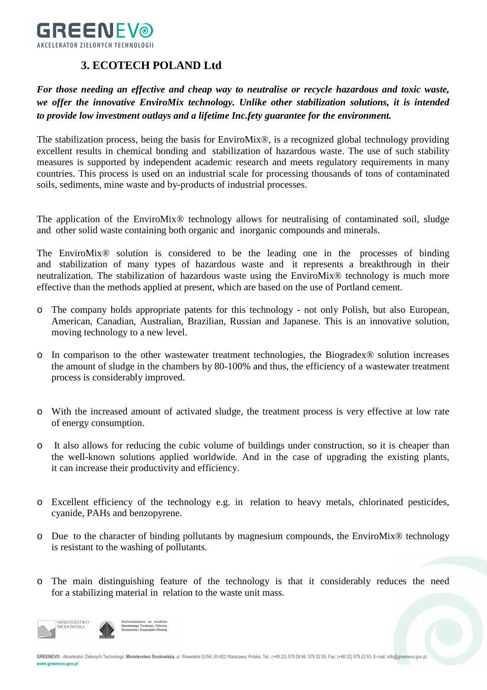

## **3. ECOTECH POLAND Ltd**

*For those needing an effective and cheap way to neutralise or recycle hazardous and toxic waste, we offer the innovative EnviroMix technology. Unlike other stabilization solutions, it is intended to provide low investment outlays and a lifetime Inc.fety guarantee for the environment.* 

The stabilization process, being the basis for EnviroMix®, is a recognized global technology providing excellent results in chemical bonding and stabilization of hazardous waste. The use of such stability measures is supported by independent academic research and meets regulatory requirements in many countries. This process is used on an industrial scale for processing thousands of tons of contaminated soils, sediments, mine waste and by-products of industrial processes.

The application of the EnviroMix<sup>®</sup> technology allows for neutralising of contaminated soil, sludge and other solid waste containing both organic and inorganic compounds and minerals.

The EnviroMix® solution is considered to be the leading one in the processes of binding and stabilization of many types of hazardous waste and it represents a breakthrough in their neutralization. The stabilization of hazardous waste using the EnviroMix® technology is much more effective than the methods applied at present, which are based on the use of Portland cement.

- o The company holds appropriate patents for this technology not only Polish, but also European, American, Canadian, Australian, Brazilian, Russian and Japanese. This is an innovative solution, moving technology to a new level.
- o In comparison to the other wastewater treatment technologies, the Biogradex® solution increases the amount of sludge in the chambers by 80-100% and thus, the efficiency of a wastewater treatment process is considerably improved.
- o With the increased amount of activated sludge, the treatment process is very effective at low rate of energy consumption.
- o It also allows for reducing the cubic volume of buildings under construction, so it is cheaper than the well-known solutions applied worldwide. And in the case of upgrading the existing plants, it can increase their productivity and efficiency.
- o Excellent efficiency of the technology e.g. in relation to heavy metals, chlorinated pesticides, cyanide, PAHs and benzopyrene.
- o Due to the character of binding pollutants by magnesium compounds, the EnviroMix® technology is resistant to the washing of pollutants.
- o The main distinguishing feature of the technology is that it considerably reduces the need for a stabilizing material in relation to the waste unit mass.



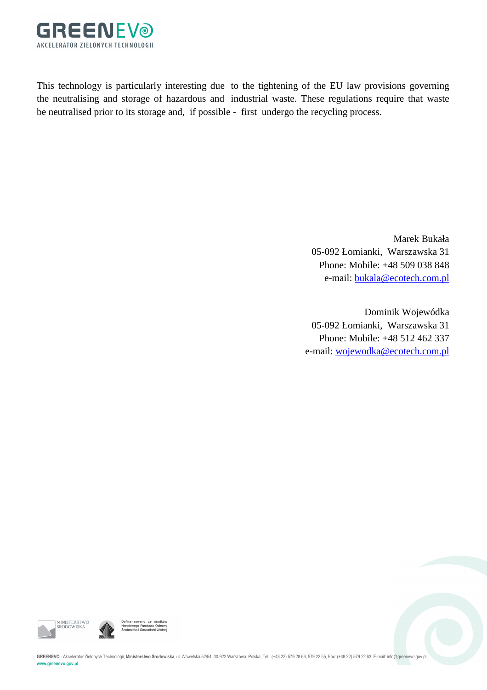

This technology is particularly interesting due to the tightening of the EU law provisions governing the neutralising and storage of hazardous and industrial waste. These regulations require that waste be neutralised prior to its storage and, if possible - first undergo the recycling process.

> Marek Bukała 05-092 Łomianki, Warszawska 31 Phone: Mobile: +48 509 038 848 e-mail: bukala@ecotech.com.pl

Dominik Wojewódka 05-092 Łomianki, Warszawska 31 Phone: Mobile: +48 512 462 337 e-mail: wojewodka@ecotech.com.pl





GREENEVO - Akcelerator Zielonych Technologii, Ministerstwo Środowiska, ul. Wawelska 52/54, 00-922 Warszawa, Polska, Tel.: (+48 22) 579 28 66, 579 22 65, Fax: (+48 22) 579 22 63, E-mail: info@greenevo.gov.pl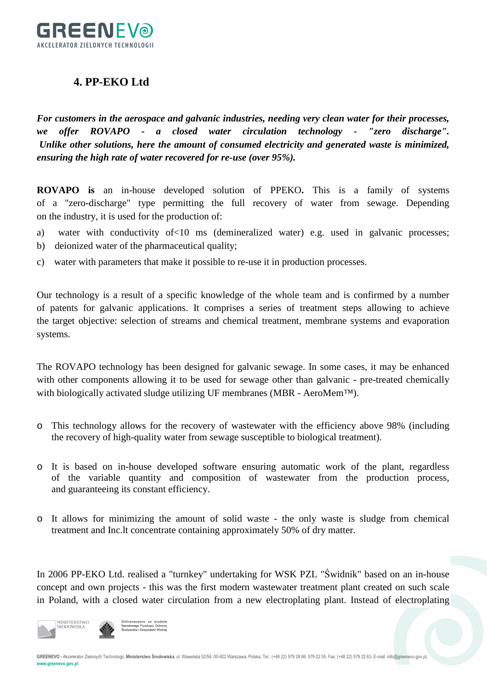

#### **4. PP-EKO Ltd**

*For customers in the aerospace and galvanic industries, needing very clean water for their processes, we offer ROVAPO - a closed water circulation technology - "zero discharge". Unlike other solutions, here the amount of consumed electricity and generated waste is minimized, ensuring the high rate of water recovered for re-use (over 95%).* 

**ROVAPO is** an in-house developed solution of PPEKO**.** This is a family of systems of a "zero-discharge" type permitting the full recovery of water from sewage. Depending on the industry, it is used for the production of:

- a) water with conductivity of<10 ms (demineralized water) e.g. used in galvanic processes;
- b) deionized water of the pharmaceutical quality;
- c) water with parameters that make it possible to re-use it in production processes.

Our technology is a result of a specific knowledge of the whole team and is confirmed by a number of patents for galvanic applications. It comprises a series of treatment steps allowing to achieve the target objective: selection of streams and chemical treatment, membrane systems and evaporation systems.

The ROVAPO technology has been designed for galvanic sewage. In some cases, it may be enhanced with other components allowing it to be used for sewage other than galvanic - pre-treated chemically with biologically activated sludge utilizing UF membranes (MBR - AeroMem<sup>TM</sup>).

- o This technology allows for the recovery of wastewater with the efficiency above 98% (including the recovery of high-quality water from sewage susceptible to biological treatment).
- o It is based on in-house developed software ensuring automatic work of the plant, regardless of the variable quantity and composition of wastewater from the production process, and guaranteeing its constant efficiency.
- o It allows for minimizing the amount of solid waste the only waste is sludge from chemical treatment and Inc.lt concentrate containing approximately 50% of dry matter.

In 2006 PP-EKO Ltd. realised a "turnkey" undertaking for WSK PZL "Świdnik" based on an in-house concept and own projects - this was the first modern wastewater treatment plant created on such scale in Poland, with a closed water circulation from a new electroplating plant. Instead of electroplating



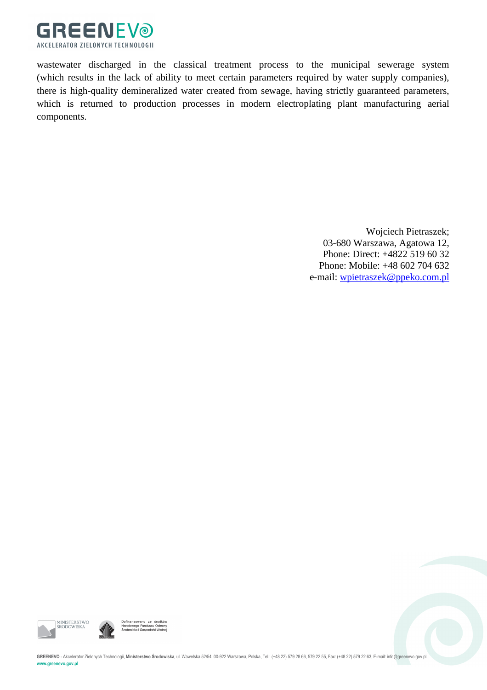

wastewater discharged in the classical treatment process to the municipal sewerage system (which results in the lack of ability to meet certain parameters required by water supply companies), there is high-quality demineralized water created from sewage, having strictly guaranteed parameters, which is returned to production processes in modern electroplating plant manufacturing aerial components.

> Wojciech Pietraszek; 03-680 Warszawa, Agatowa 12, Phone: Direct: +4822 519 60 32 Phone: Mobile: +48 602 704 632 e-mail: wpietraszek@ppeko.com.pl





GREENEVO - Akcelerator Zielonych Technologii, Ministerstwo Środowiska, ul. Wawelska 52/54, 00-922 Warszawa, Polska, Tel.: (+48 22) 579 28 66, 579 22 65, Fax: (+48 22) 579 28 55, Fax: (+48 22) 579 22 63, E-mail: info@greene